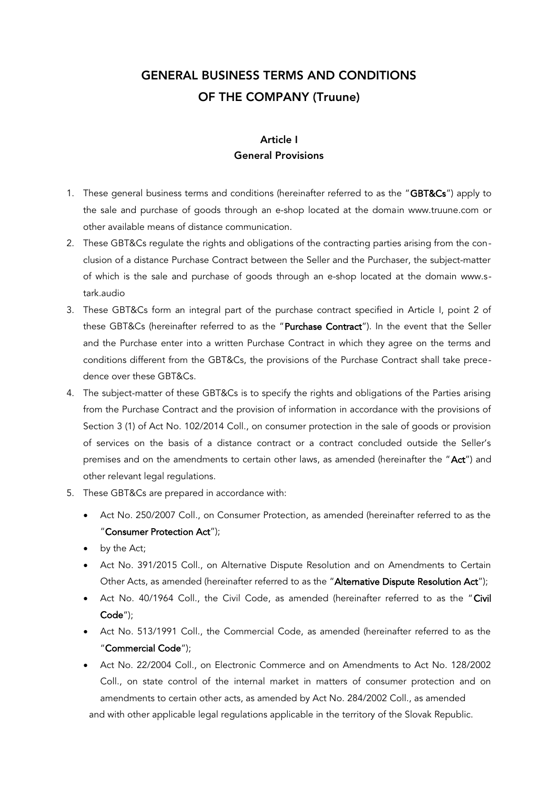# GENERAL BUSINESS TERMS AND CONDITIONS OF THE COMPANY (Truune)

#### Article I General Provisions

- 1. These general business terms and conditions (hereinafter referred to as the "GBT&Cs") apply to the sale and purchase of goods through an e-shop located at the domain www.truune.com or other available means of distance communication.
- 2. These GBT&Cs regulate the rights and obligations of the contracting parties arising from the conclusion of a distance Purchase Contract between the Seller and the Purchaser, the subject-matter of which is the sale and purchase of goods through an e-shop located at the domain www.stark.audio
- 3. These GBT&Cs form an integral part of the purchase contract specified in Article I, point 2 of these GBT&Cs (hereinafter referred to as the "Purchase Contract"). In the event that the Seller and the Purchase enter into a written Purchase Contract in which they agree on the terms and conditions different from the GBT&Cs, the provisions of the Purchase Contract shall take precedence over these GBT&Cs.
- 4. The subject-matter of these GBT&Cs is to specify the rights and obligations of the Parties arising from the Purchase Contract and the provision of information in accordance with the provisions of Section 3 (1) of Act No. 102/2014 Coll., on consumer protection in the sale of goods or provision of services on the basis of a distance contract or a contract concluded outside the Seller's premises and on the amendments to certain other laws, as amended (hereinafter the "Act") and other relevant legal regulations.
- 5. These GBT&Cs are prepared in accordance with:
	- · Act No. 250/2007 Coll., on Consumer Protection, as amended (hereinafter referred to as the "Consumer Protection Act");
	- by the Act;
	- · Act No. 391/2015 Coll., on Alternative Dispute Resolution and on Amendments to Certain Other Acts, as amended (hereinafter referred to as the "Alternative Dispute Resolution Act");
	- Act No. 40/1964 Coll., the Civil Code, as amended (hereinafter referred to as the "Civil Code");
	- · Act No. 513/1991 Coll., the Commercial Code, as amended (hereinafter referred to as the "Commercial Code");
	- · Act No. 22/2004 Coll., on Electronic Commerce and on Amendments to Act No. 128/2002 Coll., on state control of the internal market in matters of consumer protection and on amendments to certain other acts, as amended by Act No. 284/2002 Coll., as amended

and with other applicable legal regulations applicable in the territory of the Slovak Republic.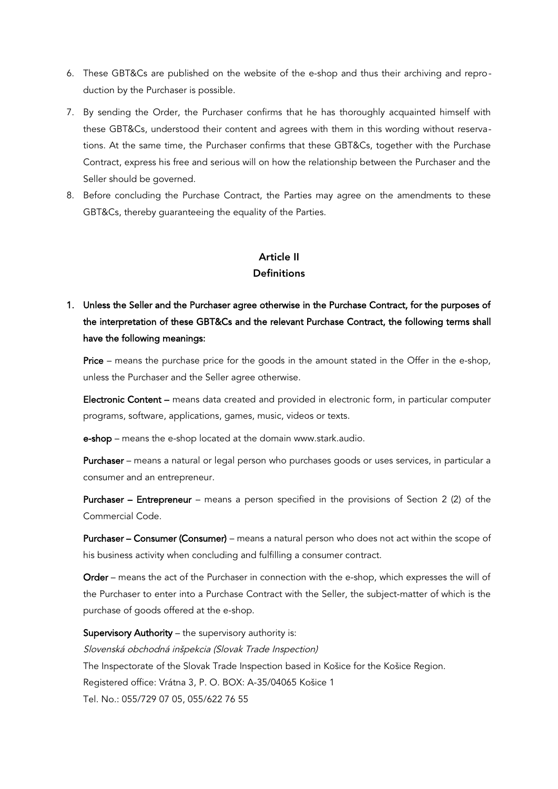- 6. These GBT&Cs are published on the website of the e-shop and thus their archiving and reproduction by the Purchaser is possible.
- 7. By sending the Order, the Purchaser confirms that he has thoroughly acquainted himself with these GBT&Cs, understood their content and agrees with them in this wording without reservations. At the same time, the Purchaser confirms that these GBT&Cs, together with the Purchase Contract, express his free and serious will on how the relationship between the Purchaser and the Seller should be governed.
- 8. Before concluding the Purchase Contract, the Parties may agree on the amendments to these GBT&Cs, thereby guaranteeing the equality of the Parties.

#### Article II **Definitions**

1. Unless the Seller and the Purchaser agree otherwise in the Purchase Contract, for the purposes of the interpretation of these GBT&Cs and the relevant Purchase Contract, the following terms shall have the following meanings:

Price – means the purchase price for the goods in the amount stated in the Offer in the e-shop, unless the Purchaser and the Seller agree otherwise.

Electronic Content – means data created and provided in electronic form, in particular computer programs, software, applications, games, music, videos or texts.

e-shop – means the e-shop located at the domain www.stark.audio.

Purchaser – means a natural or legal person who purchases goods or uses services, in particular a consumer and an entrepreneur.

Purchaser – Entrepreneur – means a person specified in the provisions of Section 2 (2) of the Commercial Code.

Purchaser – Consumer (Consumer) – means a natural person who does not act within the scope of his business activity when concluding and fulfilling a consumer contract.

Order – means the act of the Purchaser in connection with the e-shop, which expresses the will of the Purchaser to enter into a Purchase Contract with the Seller, the subject-matter of which is the purchase of goods offered at the e-shop.

Supervisory Authority – the supervisory authority is: Slovenská obchodná inšpekcia (Slovak Trade Inspection) The Inspectorate of the Slovak Trade Inspection based in Košice for the Košice Region. Registered office: Vrátna 3, P. O. BOX: A-35/04065 Košice 1 Tel. No.: 055/729 07 05, 055/622 76 55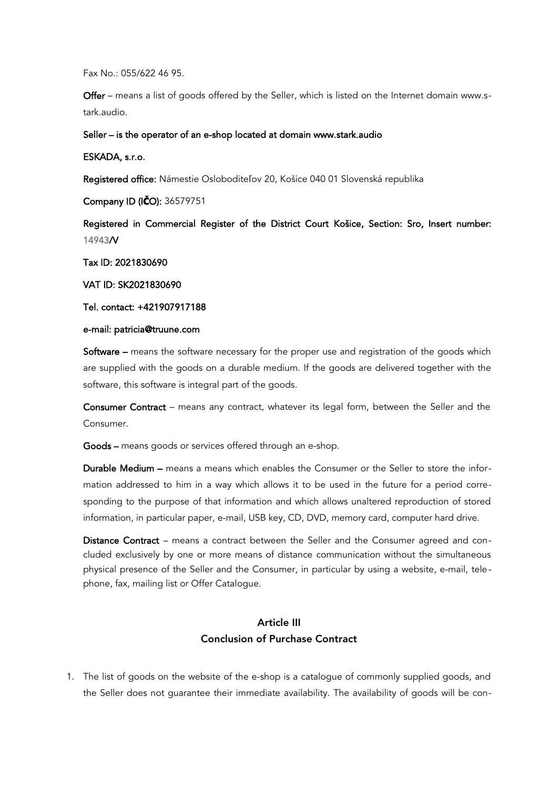Fax No.: 055/622 46 95.

Offer – means a list of goods offered by the Seller, which is listed on the Internet domain www.stark.audio.

#### Seller – is the operator of an e-shop located at domain www.stark.audio

ESKADA, s.r.o.

Registered office: Námestie Osloboditeľov 20, Košice 040 01 Slovenská republika

Company ID (IČO): 36579751

Registered in Commercial Register of the District Court Košice, Section: Sro, Insert number: 14943/V

Tax ID: 2021830690

VAT ID: SK2021830690

Tel. contact: +421907917188

#### e-mail: patricia@truune.com

Software – means the software necessary for the proper use and registration of the goods which are supplied with the goods on a durable medium. If the goods are delivered together with the software, this software is integral part of the goods.

Consumer Contract – means any contract, whatever its legal form, between the Seller and the Consumer.

Goods – means goods or services offered through an e-shop.

Durable Medium – means a means which enables the Consumer or the Seller to store the information addressed to him in a way which allows it to be used in the future for a period corresponding to the purpose of that information and which allows unaltered reproduction of stored information, in particular paper, e-mail, USB key, CD, DVD, memory card, computer hard drive.

Distance Contract – means a contract between the Seller and the Consumer agreed and concluded exclusively by one or more means of distance communication without the simultaneous physical presence of the Seller and the Consumer, in particular by using a website, e-mail, telephone, fax, mailing list or Offer Catalogue.

### Article III Conclusion of Purchase Contract

1. The list of goods on the website of the e-shop is a catalogue of commonly supplied goods, and the Seller does not guarantee their immediate availability. The availability of goods will be con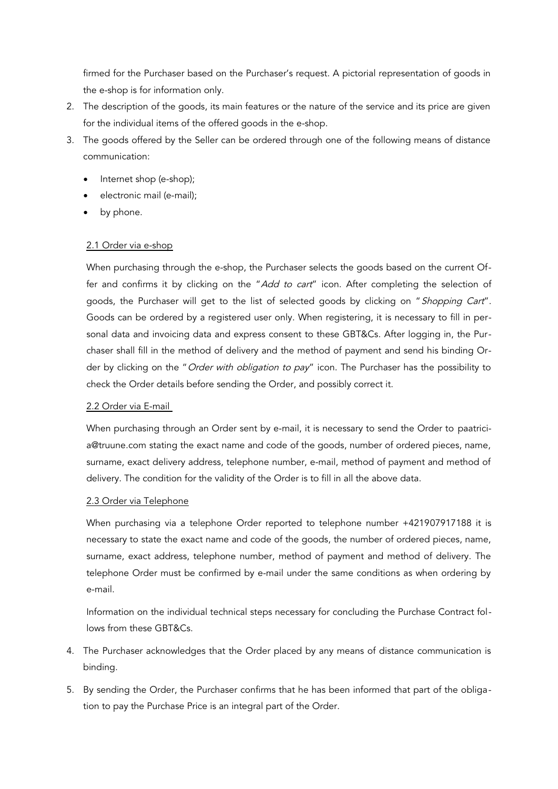firmed for the Purchaser based on the Purchaser's request. A pictorial representation of goods in the e-shop is for information only.

- 2. The description of the goods, its main features or the nature of the service and its price are given for the individual items of the offered goods in the e-shop.
- 3. The goods offered by the Seller can be ordered through one of the following means of distance communication:
	- · Internet shop (e-shop);
	- electronic mail (e-mail);
	- by phone.

#### 2.1 Order via e-shop

When purchasing through the e-shop, the Purchaser selects the goods based on the current Offer and confirms it by clicking on the "Add to cart" icon. After completing the selection of goods, the Purchaser will get to the list of selected goods by clicking on "Shopping Cart". Goods can be ordered by a registered user only. When registering, it is necessary to fill in personal data and invoicing data and express consent to these GBT&Cs. After logging in, the Purchaser shall fill in the method of delivery and the method of payment and send his binding Order by clicking on the "Order with obligation to pay" icon. The Purchaser has the possibility to check the Order details before sending the Order, and possibly correct it.

#### 2.2 Order via E-mail

When purchasing through an Order sent by e-mail, it is necessary to send the Order to paatricia@truune.com stating the exact name and code of the goods, number of ordered pieces, name, surname, exact delivery address, telephone number, e-mail, method of payment and method of delivery. The condition for the validity of the Order is to fill in all the above data.

#### 2.3 Order via Telephone

When purchasing via a telephone Order reported to telephone number +421907917188 it is necessary to state the exact name and code of the goods, the number of ordered pieces, name, surname, exact address, telephone number, method of payment and method of delivery. The telephone Order must be confirmed by e-mail under the same conditions as when ordering by e-mail.

Information on the individual technical steps necessary for concluding the Purchase Contract follows from these GBT&Cs.

- 4. The Purchaser acknowledges that the Order placed by any means of distance communication is binding.
- 5. By sending the Order, the Purchaser confirms that he has been informed that part of the obligation to pay the Purchase Price is an integral part of the Order.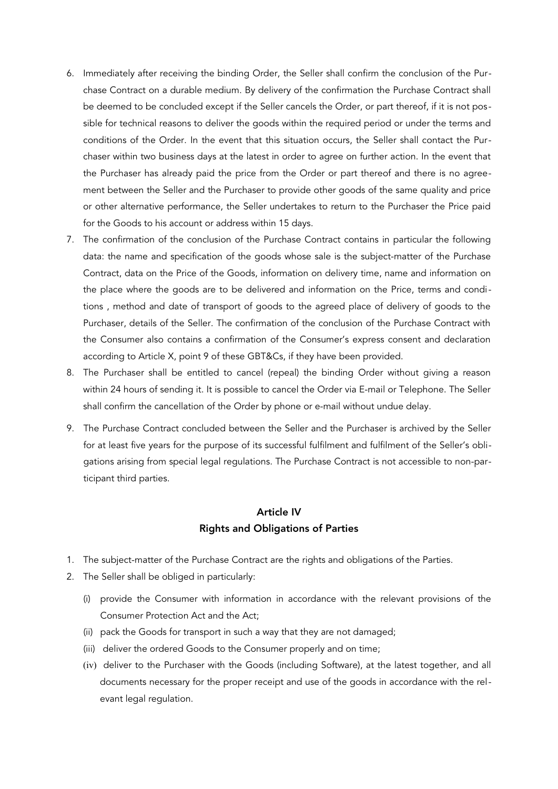- 6. Immediately after receiving the binding Order, the Seller shall confirm the conclusion of the Purchase Contract on a durable medium. By delivery of the confirmation the Purchase Contract shall be deemed to be concluded except if the Seller cancels the Order, or part thereof, if it is not possible for technical reasons to deliver the goods within the required period or under the terms and conditions of the Order. In the event that this situation occurs, the Seller shall contact the Purchaser within two business days at the latest in order to agree on further action. In the event that the Purchaser has already paid the price from the Order or part thereof and there is no agreement between the Seller and the Purchaser to provide other goods of the same quality and price or other alternative performance, the Seller undertakes to return to the Purchaser the Price paid for the Goods to his account or address within 15 days.
- 7. The confirmation of the conclusion of the Purchase Contract contains in particular the following data: the name and specification of the goods whose sale is the subject-matter of the Purchase Contract, data on the Price of the Goods, information on delivery time, name and information on the place where the goods are to be delivered and information on the Price, terms and conditions , method and date of transport of goods to the agreed place of delivery of goods to the Purchaser, details of the Seller. The confirmation of the conclusion of the Purchase Contract with the Consumer also contains a confirmation of the Consumer's express consent and declaration according to Article X, point 9 of these GBT&Cs, if they have been provided.
- 8. The Purchaser shall be entitled to cancel (repeal) the binding Order without giving a reason within 24 hours of sending it. It is possible to cancel the Order via E-mail or Telephone. The Seller shall confirm the cancellation of the Order by phone or e-mail without undue delay.
- 9. The Purchase Contract concluded between the Seller and the Purchaser is archived by the Seller for at least five years for the purpose of its successful fulfilment and fulfilment of the Seller's obligations arising from special legal regulations. The Purchase Contract is not accessible to non-participant third parties.

#### Article IV Rights and Obligations of Parties

- 1. The subject-matter of the Purchase Contract are the rights and obligations of the Parties.
- 2. The Seller shall be obliged in particularly:
	- (i) provide the Consumer with information in accordance with the relevant provisions of the Consumer Protection Act and the Act;
	- (ii) pack the Goods for transport in such a way that they are not damaged;
	- (iii) deliver the ordered Goods to the Consumer properly and on time;
	- (iv) deliver to the Purchaser with the Goods (including Software), at the latest together, and all documents necessary for the proper receipt and use of the goods in accordance with the relevant legal regulation.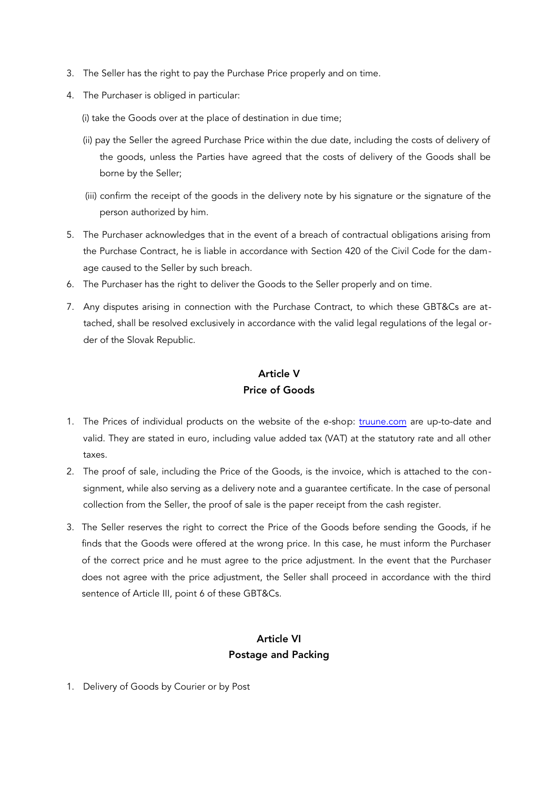- 3. The Seller has the right to pay the Purchase Price properly and on time.
- 4. The Purchaser is obliged in particular:
	- (i) take the Goods over at the place of destination in due time;
	- (ii) pay the Seller the agreed Purchase Price within the due date, including the costs of delivery of the goods, unless the Parties have agreed that the costs of delivery of the Goods shall be borne by the Seller;
	- (iii) confirm the receipt of the goods in the delivery note by his signature or the signature of the person authorized by him.
- 5. The Purchaser acknowledges that in the event of a breach of contractual obligations arising from the Purchase Contract, he is liable in accordance with Section 420 of the Civil Code for the damage caused to the Seller by such breach.
- 6. The Purchaser has the right to deliver the Goods to the Seller properly and on time.
- 7. Any disputes arising in connection with the Purchase Contract, to which these GBT&Cs are attached, shall be resolved exclusively in accordance with the valid legal regulations of the legal order of the Slovak Republic.

#### Article V Price of Goods

- 1. The Prices of individual products on the website of the e-shop: [truune.com](http://truune.com/) are up-to-date and valid. They are stated in euro, including value added tax (VAT) at the statutory rate and all other taxes.
- 2. The proof of sale, including the Price of the Goods, is the invoice, which is attached to the consignment, while also serving as a delivery note and a guarantee certificate. In the case of personal collection from the Seller, the proof of sale is the paper receipt from the cash register.
- 3. The Seller reserves the right to correct the Price of the Goods before sending the Goods, if he finds that the Goods were offered at the wrong price. In this case, he must inform the Purchaser of the correct price and he must agree to the price adjustment. In the event that the Purchaser does not agree with the price adjustment, the Seller shall proceed in accordance with the third sentence of Article III, point 6 of these GBT&Cs.

# Article VI Postage and Packing

1. Delivery of Goods by Courier or by Post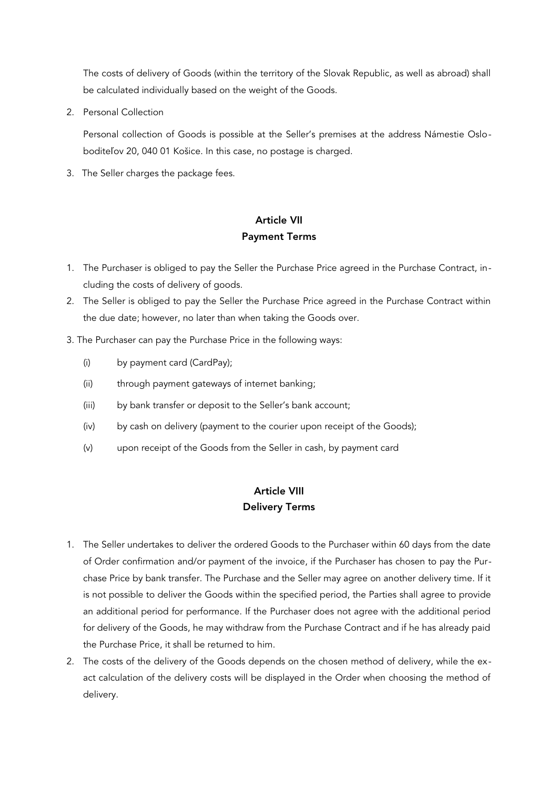The costs of delivery of Goods (within the territory of the Slovak Republic, as well as abroad) shall be calculated individually based on the weight of the Goods.

2. Personal Collection

Personal collection of Goods is possible at the Seller's premises at the address Námestie Osloboditeľov 20, 040 01 Košice. In this case, no postage is charged.

3. The Seller charges the package fees.

#### Article VII Payment Terms

- 1. The Purchaser is obliged to pay the Seller the Purchase Price agreed in the Purchase Contract, including the costs of delivery of goods.
- 2. The Seller is obliged to pay the Seller the Purchase Price agreed in the Purchase Contract within the due date; however, no later than when taking the Goods over.
- 3. The Purchaser can pay the Purchase Price in the following ways:
	- (i) by payment card (CardPay);
	- (ii) through payment gateways of internet banking;
	- (iii) by bank transfer or deposit to the Seller's bank account;
	- (iv) by cash on delivery (payment to the courier upon receipt of the Goods);
	- (v) upon receipt of the Goods from the Seller in cash, by payment card

### Article VIII Delivery Terms

- 1. The Seller undertakes to deliver the ordered Goods to the Purchaser within 60 days from the date of Order confirmation and/or payment of the invoice, if the Purchaser has chosen to pay the Purchase Price by bank transfer. The Purchase and the Seller may agree on another delivery time. If it is not possible to deliver the Goods within the specified period, the Parties shall agree to provide an additional period for performance. If the Purchaser does not agree with the additional period for delivery of the Goods, he may withdraw from the Purchase Contract and if he has already paid the Purchase Price, it shall be returned to him.
- 2. The costs of the delivery of the Goods depends on the chosen method of delivery, while the exact calculation of the delivery costs will be displayed in the Order when choosing the method of delivery.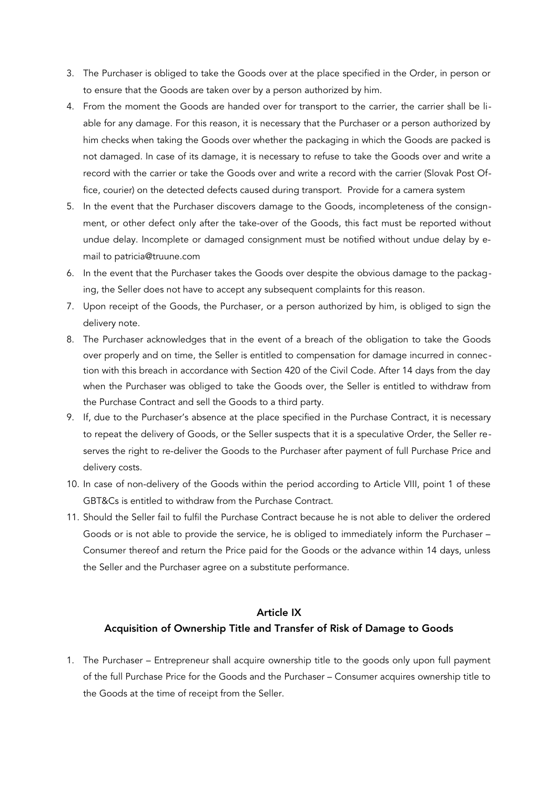- 3. The Purchaser is obliged to take the Goods over at the place specified in the Order, in person or to ensure that the Goods are taken over by a person authorized by him.
- 4. From the moment the Goods are handed over for transport to the carrier, the carrier shall be liable for any damage. For this reason, it is necessary that the Purchaser or a person authorized by him checks when taking the Goods over whether the packaging in which the Goods are packed is not damaged. In case of its damage, it is necessary to refuse to take the Goods over and write a record with the carrier or take the Goods over and write a record with the carrier (Slovak Post Office, courier) on the detected defects caused during transport. Provide for a camera system
- 5. In the event that the Purchaser discovers damage to the Goods, incompleteness of the consignment, or other defect only after the take-over of the Goods, this fact must be reported without undue delay. Incomplete or damaged consignment must be notified without undue delay by email to patricia@truune.com
- 6. In the event that the Purchaser takes the Goods over despite the obvious damage to the packaging, the Seller does not have to accept any subsequent complaints for this reason.
- 7. Upon receipt of the Goods, the Purchaser, or a person authorized by him, is obliged to sign the delivery note.
- 8. The Purchaser acknowledges that in the event of a breach of the obligation to take the Goods over properly and on time, the Seller is entitled to compensation for damage incurred in connection with this breach in accordance with Section 420 of the Civil Code. After 14 days from the day when the Purchaser was obliged to take the Goods over, the Seller is entitled to withdraw from the Purchase Contract and sell the Goods to a third party.
- 9. If, due to the Purchaser's absence at the place specified in the Purchase Contract, it is necessary to repeat the delivery of Goods, or the Seller suspects that it is a speculative Order, the Seller reserves the right to re-deliver the Goods to the Purchaser after payment of full Purchase Price and delivery costs.
- 10. In case of non-delivery of the Goods within the period according to Article VIII, point 1 of these GBT&Cs is entitled to withdraw from the Purchase Contract.
- 11. Should the Seller fail to fulfil the Purchase Contract because he is not able to deliver the ordered Goods or is not able to provide the service, he is obliged to immediately inform the Purchaser – Consumer thereof and return the Price paid for the Goods or the advance within 14 days, unless the Seller and the Purchaser agree on a substitute performance.

# Article IX Acquisition of Ownership Title and Transfer of Risk of Damage to Goods

1. The Purchaser – Entrepreneur shall acquire ownership title to the goods only upon full payment of the full Purchase Price for the Goods and the Purchaser – Consumer acquires ownership title to the Goods at the time of receipt from the Seller.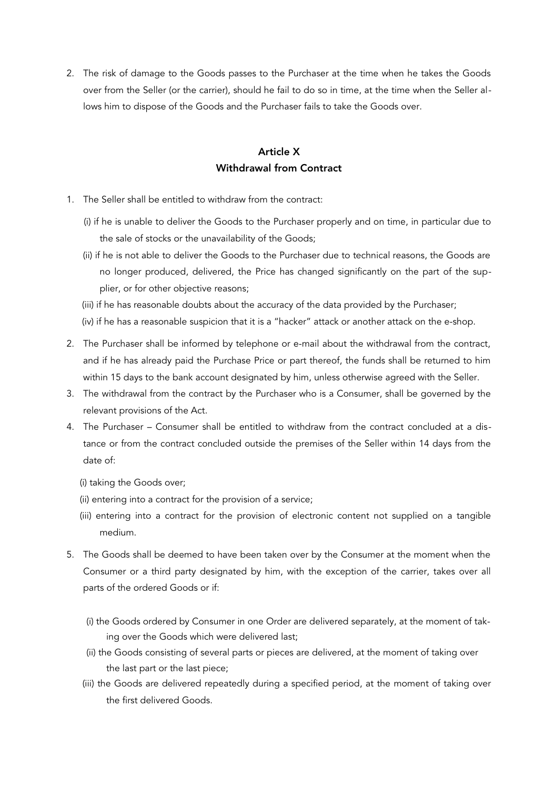2. The risk of damage to the Goods passes to the Purchaser at the time when he takes the Goods over from the Seller (or the carrier), should he fail to do so in time, at the time when the Seller allows him to dispose of the Goods and the Purchaser fails to take the Goods over.

#### Article X Withdrawal from Contract

- 1. The Seller shall be entitled to withdraw from the contract:
	- (i) if he is unable to deliver the Goods to the Purchaser properly and on time, in particular due to the sale of stocks or the unavailability of the Goods;
	- (ii) if he is not able to deliver the Goods to the Purchaser due to technical reasons, the Goods are no longer produced, delivered, the Price has changed significantly on the part of the supplier, or for other objective reasons;
	- (iii) if he has reasonable doubts about the accuracy of the data provided by the Purchaser;
	- (iv) if he has a reasonable suspicion that it is a "hacker" attack or another attack on the e-shop.
- 2. The Purchaser shall be informed by telephone or e-mail about the withdrawal from the contract, and if he has already paid the Purchase Price or part thereof, the funds shall be returned to him within 15 days to the bank account designated by him, unless otherwise agreed with the Seller.
- 3. The withdrawal from the contract by the Purchaser who is a Consumer, shall be governed by the relevant provisions of the Act.
- 4. The Purchaser Consumer shall be entitled to withdraw from the contract concluded at a distance or from the contract concluded outside the premises of the Seller within 14 days from the date of:
	- (i) taking the Goods over;
	- (ii) entering into a contract for the provision of a service;
	- (iii) entering into a contract for the provision of electronic content not supplied on a tangible medium.
- 5. The Goods shall be deemed to have been taken over by the Consumer at the moment when the Consumer or a third party designated by him, with the exception of the carrier, takes over all parts of the ordered Goods or if:
	- (i) the Goods ordered by Consumer in one Order are delivered separately, at the moment of taking over the Goods which were delivered last;
	- (ii) the Goods consisting of several parts or pieces are delivered, at the moment of taking over the last part or the last piece;
	- (iii) the Goods are delivered repeatedly during a specified period, at the moment of taking over the first delivered Goods.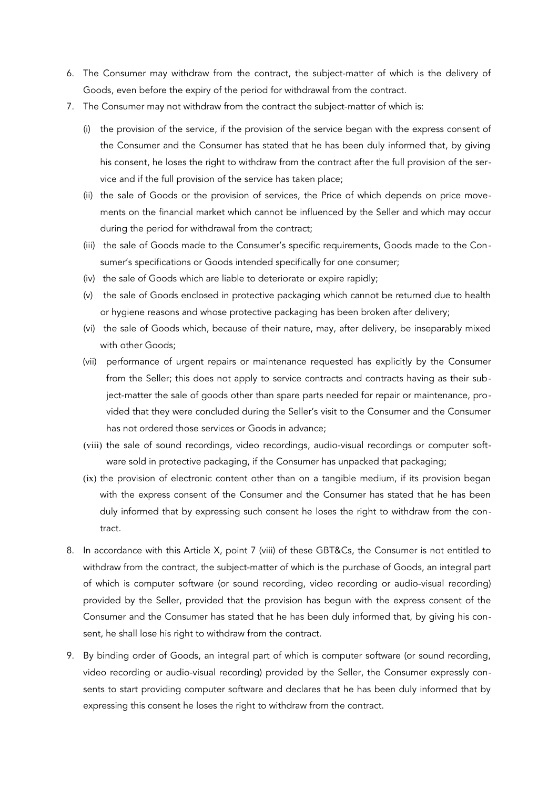- 6. The Consumer may withdraw from the contract, the subject-matter of which is the delivery of Goods, even before the expiry of the period for withdrawal from the contract.
- 7. The Consumer may not withdraw from the contract the subject-matter of which is:
	- (i) the provision of the service, if the provision of the service began with the express consent of the Consumer and the Consumer has stated that he has been duly informed that, by giving his consent, he loses the right to withdraw from the contract after the full provision of the service and if the full provision of the service has taken place;
	- (ii) the sale of Goods or the provision of services, the Price of which depends on price movements on the financial market which cannot be influenced by the Seller and which may occur during the period for withdrawal from the contract;
	- (iii) the sale of Goods made to the Consumer's specific requirements, Goods made to the Consumer's specifications or Goods intended specifically for one consumer;
	- (iv) the sale of Goods which are liable to deteriorate or expire rapidly;
	- (v) the sale of Goods enclosed in protective packaging which cannot be returned due to health or hygiene reasons and whose protective packaging has been broken after delivery;
	- (vi) the sale of Goods which, because of their nature, may, after delivery, be inseparably mixed with other Goods;
	- (vii) performance of urgent repairs or maintenance requested has explicitly by the Consumer from the Seller; this does not apply to service contracts and contracts having as their subject-matter the sale of goods other than spare parts needed for repair or maintenance, provided that they were concluded during the Seller's visit to the Consumer and the Consumer has not ordered those services or Goods in advance;
	- (viii) the sale of sound recordings, video recordings, audio-visual recordings or computer software sold in protective packaging, if the Consumer has unpacked that packaging;
	- (ix) the provision of electronic content other than on a tangible medium, if its provision began with the express consent of the Consumer and the Consumer has stated that he has been duly informed that by expressing such consent he loses the right to withdraw from the contract.
- 8. In accordance with this Article X, point 7 (viii) of these GBT&Cs, the Consumer is not entitled to withdraw from the contract, the subject-matter of which is the purchase of Goods, an integral part of which is computer software (or sound recording, video recording or audio-visual recording) provided by the Seller, provided that the provision has begun with the express consent of the Consumer and the Consumer has stated that he has been duly informed that, by giving his consent, he shall lose his right to withdraw from the contract.
- 9. By binding order of Goods, an integral part of which is computer software (or sound recording, video recording or audio-visual recording) provided by the Seller, the Consumer expressly consents to start providing computer software and declares that he has been duly informed that by expressing this consent he loses the right to withdraw from the contract.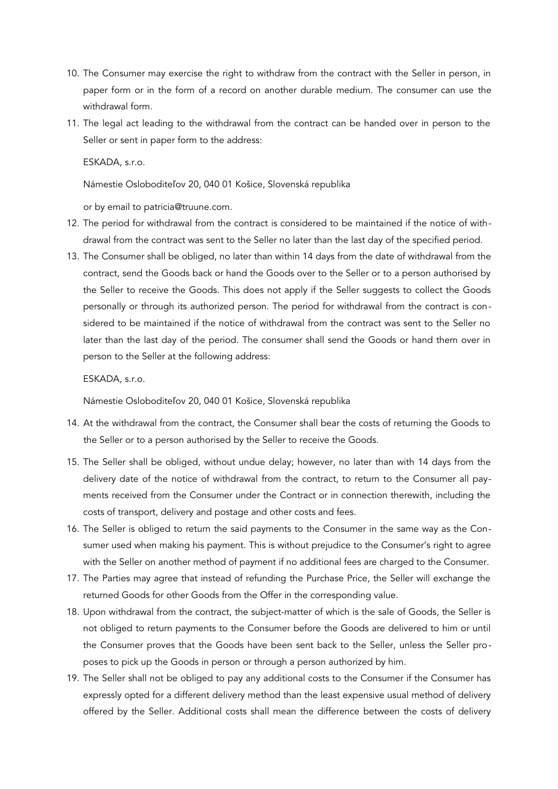- 10. The Consumer may exercise the right to withdraw from the contract with the Seller in person, in paper form or in the form of a record on another durable medium. The consumer can use [the](https://www.istores.sk/inc/Dokumenty/Odstupenie-od-zmluvy-formular.zip) [withdrawal form.](https://www.istores.sk/inc/Dokumenty/Odstupenie-od-zmluvy-formular.zip)
- 11. The legal act leading to the withdrawal from the contract can be handed over in person to the Seller or sent in paper form to the address:

ESKADA, s.r.o.

Námestie Osloboditeľov 20, 040 01 Košice, Slovenská republika

or by email to patricia@truune.com.

- 12. The period for withdrawal from the contract is considered to be maintained if the notice of withdrawal from the contract was sent to the Seller no later than the last day of the specified period.
- 13. The Consumer shall be obliged, no later than within 14 days from the date of withdrawal from the contract, send the Goods back or hand the Goods over to the Seller or to a person authorised by the Seller to receive the Goods. This does not apply if the Seller suggests to collect the Goods personally or through its authorized person. The period for withdrawal from the contract is considered to be maintained if the notice of withdrawal from the contract was sent to the Seller no later than the last day of the period. The consumer shall send the Goods or hand them over in person to the Seller at the following address:

ESKADA, s.r.o.

Námestie Osloboditeľov 20, 040 01 Košice, Slovenská republika

- 14. At the withdrawal from the contract, the Consumer shall bear the costs of returning the Goods to the Seller or to a person authorised by the Seller to receive the Goods.
- 15. The Seller shall be obliged, without undue delay; however, no later than with 14 days from the delivery date of the notice of withdrawal from the contract, to return to the Consumer all payments received from the Consumer under the Contract or in connection therewith, including the costs of transport, delivery and postage and other costs and fees.
- 16. The Seller is obliged to return the said payments to the Consumer in the same way as the Consumer used when making his payment. This is without prejudice to the Consumer's right to agree with the Seller on another method of payment if no additional fees are charged to the Consumer.
- 17. The Parties may agree that instead of refunding the Purchase Price, the Seller will exchange the returned Goods for other Goods from the Offer in the corresponding value.
- 18. Upon withdrawal from the contract, the subject-matter of which is the sale of Goods, the Seller is not obliged to return payments to the Consumer before the Goods are delivered to him or until the Consumer proves that the Goods have been sent back to the Seller, unless the Seller proposes to pick up the Goods in person or through a person authorized by him.
- 19. The Seller shall not be obliged to pay any additional costs to the Consumer if the Consumer has expressly opted for a different delivery method than the least expensive usual method of delivery offered by the Seller. Additional costs shall mean the difference between the costs of delivery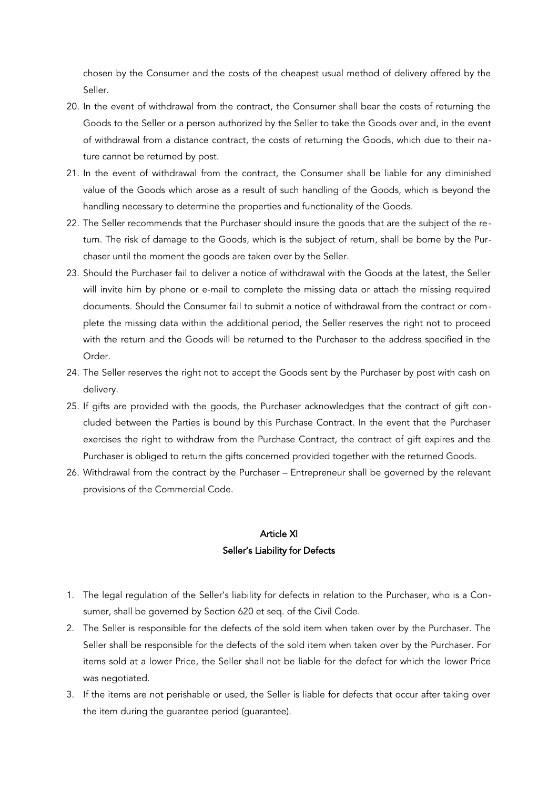chosen by the Consumer and the costs of the cheapest usual method of delivery offered by the Seller.

- 20. In the event of withdrawal from the contract, the Consumer shall bear the costs of returning the Goods to the Seller or a person authorized by the Seller to take the Goods over and, in the event of withdrawal from a distance contract, the costs of returning the Goods, which due to their nature cannot be returned by post.
- 21. In the event of withdrawal from the contract, the Consumer shall be liable for any diminished value of the Goods which arose as a result of such handling of the Goods, which is beyond the handling necessary to determine the properties and functionality of the Goods.
- 22. The Seller recommends that the Purchaser should insure the goods that are the subject of the return. The risk of damage to the Goods, which is the subject of return, shall be borne by the Purchaser until the moment the goods are taken over by the Seller.
- 23. Should the Purchaser fail to deliver a notice of withdrawal with the Goods at the latest, the Seller will invite him by phone or e-mail to complete the missing data or attach the missing required documents. Should the Consumer fail to submit a notice of withdrawal from the contract or complete the missing data within the additional period, the Seller reserves the right not to proceed with the return and the Goods will be returned to the Purchaser to the address specified in the Order.
- 24. The Seller reserves the right not to accept the Goods sent by the Purchaser by post with cash on delivery.
- 25. If gifts are provided with the goods, the Purchaser acknowledges that the contract of gift concluded between the Parties is bound by this Purchase Contract. In the event that the Purchaser exercises the right to withdraw from the Purchase Contract, the contract of gift expires and the Purchaser is obliged to return the gifts concerned provided together with the returned Goods.
- 26. Withdrawal from the contract by the Purchaser Entrepreneur shall be governed by the relevant provisions of the Commercial Code.

#### Article XI Seller's Liability for Defects

- 1. The legal regulation of the Seller's liability for defects in relation to the Purchaser, who is a Consumer, shall be governed by Section 620 et seq. of the Civil Code.
- 2. The Seller is responsible for the defects of the sold item when taken over by the Purchaser. The Seller shall be responsible for the defects of the sold item when taken over by the Purchaser. For items sold at a lower Price, the Seller shall not be liable for the defect for which the lower Price was negotiated.
- 3. If the items are not perishable or used, the Seller is liable for defects that occur after taking over the item during the guarantee period (guarantee).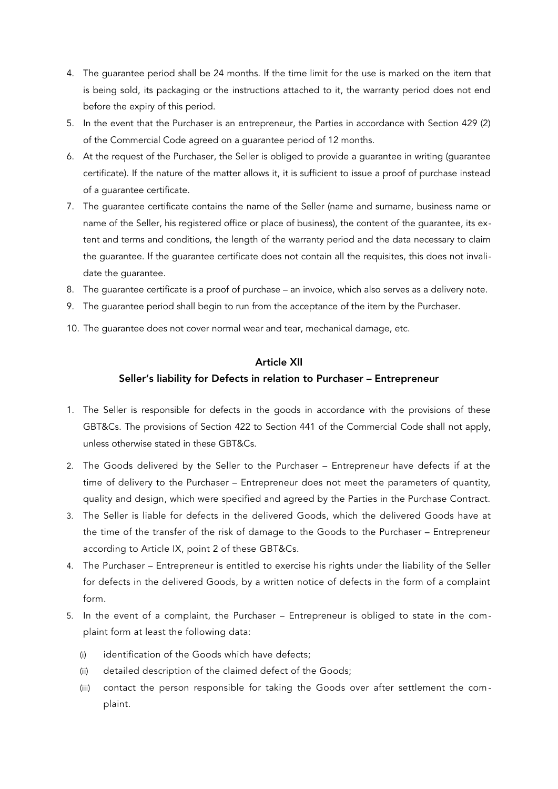- 4. The guarantee period shall be 24 months. If the time limit for the use is marked on the item that is being sold, its packaging or the instructions attached to it, the warranty period does not end before the expiry of this period.
- 5. In the event that the Purchaser is an entrepreneur, the Parties in accordance with Section 429 (2) of the Commercial Code agreed on a guarantee period of 12 months.
- 6. At the request of the Purchaser, the Seller is obliged to provide a guarantee in writing (guarantee certificate). If the nature of the matter allows it, it is sufficient to issue a proof of purchase instead of a guarantee certificate.
- 7. The guarantee certificate contains the name of the Seller (name and surname, business name or name of the Seller, his registered office or place of business), the content of the guarantee, its extent and terms and conditions, the length of the warranty period and the data necessary to claim the guarantee. If the guarantee certificate does not contain all the requisites, this does not invalidate the guarantee.
- 8. The guarantee certificate is a proof of purchase an invoice, which also serves as a delivery note.
- 9. The guarantee period shall begin to run from the acceptance of the item by the Purchaser.
- 10. The guarantee does not cover normal wear and tear, mechanical damage, etc.

## Article XII Seller's liability for Defects in relation to Purchaser – Entrepreneur

- 1. The Seller is responsible for defects in the goods in accordance with the provisions of these GBT&Cs. The provisions of Section 422 to Section 441 of the Commercial Code shall not apply, unless otherwise stated in these GBT&Cs.
- 2. The Goods delivered by the Seller to the Purchaser Entrepreneur have defects if at the time of delivery to the Purchaser – Entrepreneur does not meet the parameters of quantity, quality and design, which were specified and agreed by the Parties in the Purchase Contract.
- 3. The Seller is liable for defects in the delivered Goods, which the delivered Goods have at the time of the transfer of the risk of damage to the Goods to the Purchaser – Entrepreneur according to Article IX, point 2 of these GBT&Cs.
- 4. The Purchaser Entrepreneur is entitled to exercise his rights under the liability of the Seller for defects in the delivered Goods, by a written notice of defects in the form of a complaint form.
- 5. In the event of a complaint, the Purchaser Entrepreneur is obliged to state in the complaint form at least the following data:
	- (i) identification of the Goods which have defects;
	- (ii) detailed description of the claimed defect of the Goods;
	- (iii) contact the person responsible for taking the Goods over after settlement the com plaint.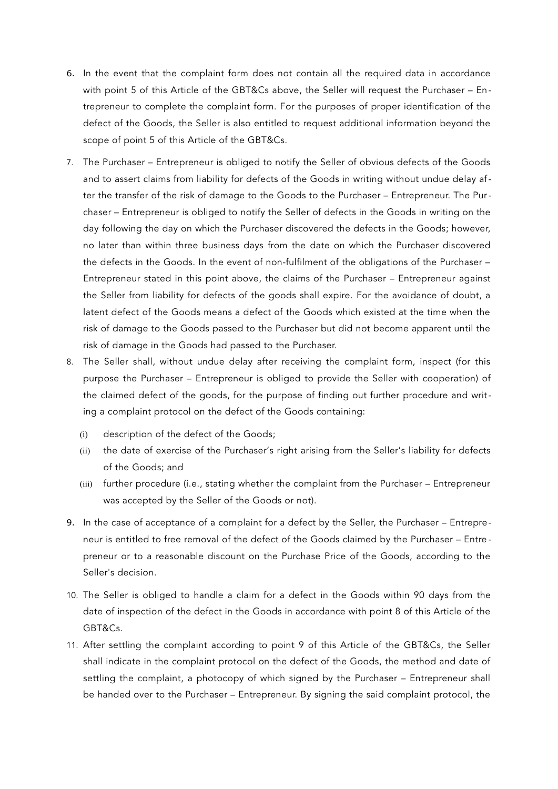- 6. In the event that the complaint form does not contain all the required data in accordance with point 5 of this Article of the GBT&Cs above, the Seller will request the Purchaser – Entrepreneur to complete the complaint form. For the purposes of proper identification of the defect of the Goods, the Seller is also entitled to request additional information beyond the scope of point 5 of this Article of the GBT&Cs.
- 7. The Purchaser Entrepreneur is obliged to notify the Seller of obvious defects of the Goods and to assert claims from liability for defects of the Goods in writing without undue delay after the transfer of the risk of damage to the Goods to the Purchaser – Entrepreneur. The Purchaser – Entrepreneur is obliged to notify the Seller of defects in the Goods in writing on the day following the day on which the Purchaser discovered the defects in the Goods; however, no later than within three business days from the date on which the Purchaser discovered the defects in the Goods. In the event of non-fulfilment of the obligations of the Purchaser – Entrepreneur stated in this point above, the claims of the Purchaser – Entrepreneur against the Seller from liability for defects of the goods shall expire. For the avoidance of doubt, a latent defect of the Goods means a defect of the Goods which existed at the time when the risk of damage to the Goods passed to the Purchaser but did not become apparent until the risk of damage in the Goods had passed to the Purchaser.
- 8. The Seller shall, without undue delay after receiving the complaint form, inspect (for this purpose the Purchaser – Entrepreneur is obliged to provide the Seller with cooperation) of the claimed defect of the goods, for the purpose of finding out further procedure and writing a complaint protocol on the defect of the Goods containing:
	- (i) description of the defect of the Goods;
	- (ii) the date of exercise of the Purchaser's right arising from the Seller's liability for defects of the Goods; and
	- (iii) further procedure (i.e., stating whether the complaint from the Purchaser Entrepreneur was accepted by the Seller of the Goods or not).
- 9. In the case of acceptance of a complaint for a defect by the Seller, the Purchaser Entrepreneur is entitled to free removal of the defect of the Goods claimed by the Purchaser – Entrepreneur or to a reasonable discount on the Purchase Price of the Goods, according to the Seller's decision.
- 10. The Seller is obliged to handle a claim for a defect in the Goods within 90 days from the date of inspection of the defect in the Goods in accordance with point 8 of this Article of the GBT&Cs.
- 11. After settling the complaint according to point 9 of this Article of the GBT&Cs, the Seller shall indicate in the complaint protocol on the defect of the Goods, the method and date of settling the complaint, a photocopy of which signed by the Purchaser – Entrepreneur shall be handed over to the Purchaser – Entrepreneur. By signing the said complaint protocol, the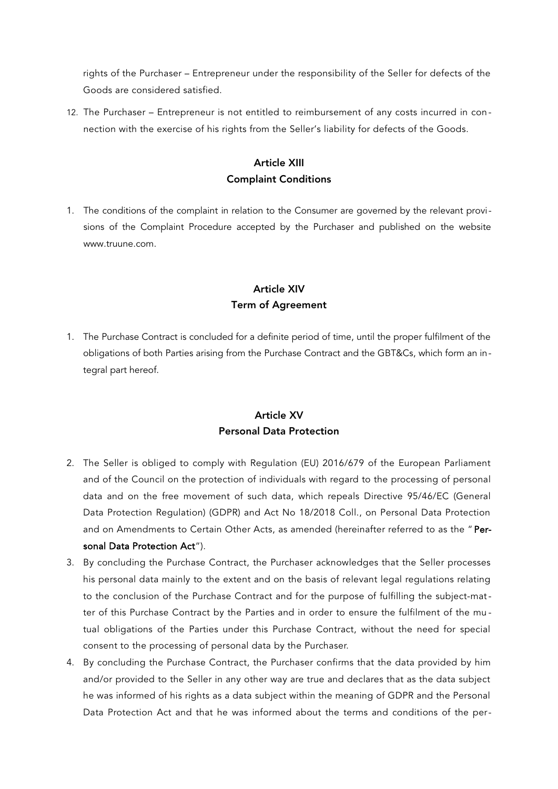rights of the Purchaser – Entrepreneur under the responsibility of the Seller for defects of the Goods are considered satisfied.

12. The Purchaser – Entrepreneur is not entitled to reimbursement of any costs incurred in connection with the exercise of his rights from the Seller's liability for defects of the Goods.

#### Article XIII Complaint Conditions

1. The conditions of the complaint in relation to the Consumer are governed by the relevant provisions of the Complaint Procedure accepted by the Purchaser and published on the website www.truune.com.

#### Article XIV Term of Agreement

1. The Purchase Contract is concluded for a definite period of time, until the proper fulfilment of the obligations of both Parties arising from the Purchase Contract and the GBT&Cs, which form an integral part hereof.

# Article XV Personal Data Protection

- 2. The Seller is obliged to comply with Regulation (EU) 2016/679 of the European Parliament and of the Council on the protection of individuals with regard to the processing of personal data and on the free movement of such data, which repeals Directive 95/46/EC (General Data Protection Regulation) (GDPR) and Act No 18/2018 Coll., on Personal Data Protection and on Amendments to Certain Other Acts, as amended (hereinafter referred to as the "Personal Data Protection Act").
- 3. By concluding the Purchase Contract, the Purchaser acknowledges that the Seller processes his personal data mainly to the extent and on the basis of relevant legal regulations relating to the conclusion of the Purchase Contract and for the purpose of fulfilling the subject-matter of this Purchase Contract by the Parties and in order to ensure the fulfilment of the mutual obligations of the Parties under this Purchase Contract, without the need for special consent to the processing of personal data by the Purchaser.
- 4. By concluding the Purchase Contract, the Purchaser confirms that the data provided by him and/or provided to the Seller in any other way are true and declares that as the data subject he was informed of his rights as a data subject within the meaning of GDPR and the Personal Data Protection Act and that he was informed about the terms and conditions of the per-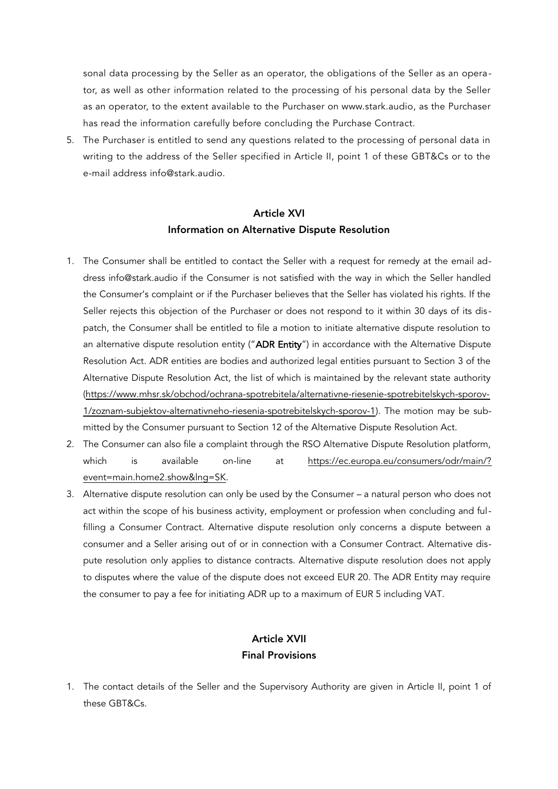sonal data processing by the Seller as an operator, the obligations of the Seller as an operator, as well as other information related to the processing of his personal data by the Seller as an operator, to the extent available to the Purchaser on www.stark.audio, as the Purchaser has read the information carefully before concluding the Purchase Contract.

5. The Purchaser is entitled to send any questions related to the processing of personal data in writing to the address of the Seller specified in Article II, point 1 of these GBT&Cs or to the e-mail address info@stark.audio.

#### Article XVI Information on Alternative Dispute Resolution

- 1. The Consumer shall be entitled to contact the Seller with a request for remedy at the email address info@stark.audio if the Consumer is not satisfied with the way in which the Seller handled the Consumer's complaint or if the Purchaser believes that the Seller has violated his rights. If the Seller rejects this objection of the Purchaser or does not respond to it within 30 days of its dis patch, the Consumer shall be entitled to file a motion to initiate alternative dispute resolution to an alternative dispute resolution entity ("ADR Entity") in accordance with the Alternative Dispute Resolution Act. ADR entities are bodies and authorized legal entities pursuant to Section 3 of the Alternative Dispute Resolution Act, the list of which is maintained by the relevant state authority [\(https://www.mhsr.sk/obchod/ochrana-spotrebitela/alternativne-riesenie-spotrebitelskych-sporov-](https://www.mhsr.sk/obchod/ochrana-spotrebitela/alternativne-riesenie-spotrebitelskych-sporov-1/zoznam-subjektov-alternativneho-riesenia-spotrebitelskych-sporov-1)[1/zoznam-subjektov-alternativneho-riesenia-spotrebitelskych-sporov-1](https://www.mhsr.sk/obchod/ochrana-spotrebitela/alternativne-riesenie-spotrebitelskych-sporov-1/zoznam-subjektov-alternativneho-riesenia-spotrebitelskych-sporov-1)). The motion may be submitted by the Consumer pursuant to Section 12 of the Alternative Dispute Resolution Act.
- 2. The Consumer can also file a complaint through the RSO Alternative Dispute Resolution platform, which is available on-line at [https://ec.europa.eu/consumers/odr/main/?](https://ec.europa.eu/consumers/odr/main/?event=main.home2.show&lng=SK) [event=main.home2.show&lng=SK](https://ec.europa.eu/consumers/odr/main/?event=main.home2.show&lng=SK).
- 3. Alternative dispute resolution can only be used by the Consumer a natural person who does not act within the scope of his business activity, employment or profession when concluding and fulfilling a Consumer Contract. Alternative dispute resolution only concerns a dispute between a consumer and a Seller arising out of or in connection with a Consumer Contract. Alternative dispute resolution only applies to distance contracts. Alternative dispute resolution does not apply to disputes where the value of the dispute does not exceed EUR 20. The ADR Entity may require the consumer to pay a fee for initiating ADR up to a maximum of EUR 5 including VAT.

### Article XVII Final Provisions

1. The contact details of the Seller and the Supervisory Authority are given in Article II, point 1 of these GBT&Cs.